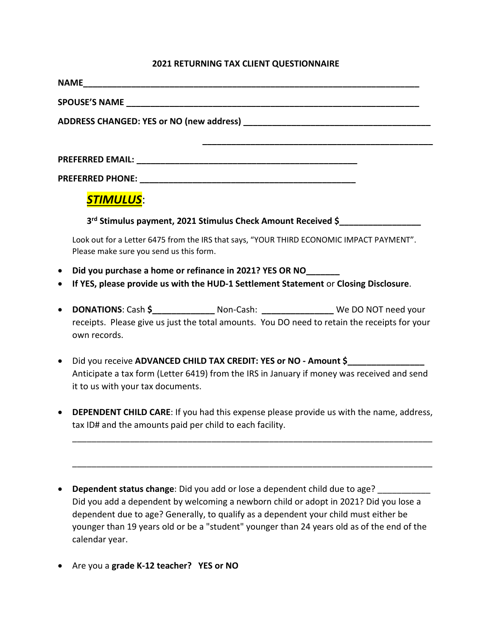## **2021 RETURNING TAX CLIENT QUESTIONNAIRE**

|           | <b>STIMULUS:</b>                                                                                                                    |  |  |  |
|-----------|-------------------------------------------------------------------------------------------------------------------------------------|--|--|--|
|           | 3rd Stimulus payment, 2021 Stimulus Check Amount Received \$                                                                        |  |  |  |
|           | Look out for a Letter 6475 from the IRS that says, "YOUR THIRD ECONOMIC IMPACT PAYMENT".<br>Please make sure you send us this form. |  |  |  |
| $\bullet$ | Did you purchase a home or refinance in 2021? YES OR NO                                                                             |  |  |  |
| $\bullet$ | If YES, please provide us with the HUD-1 Settlement Statement or Closing Disclosure.                                                |  |  |  |
|           |                                                                                                                                     |  |  |  |

- receipts. Please give us just the total amounts. You DO need to retain the receipts for your own records.
- Did you receive ADVANCED CHILD TAX CREDIT: YES or NO Amount \$ Anticipate a tax form (Letter 6419) from the IRS in January if money was received and send it to us with your tax documents.
- **DEPENDENT CHILD CARE**: If you had this expense please provide us with the name, address, tax ID# and the amounts paid per child to each facility.

\_\_\_\_\_\_\_\_\_\_\_\_\_\_\_\_\_\_\_\_\_\_\_\_\_\_\_\_\_\_\_\_\_\_\_\_\_\_\_\_\_\_\_\_\_\_\_\_\_\_\_\_\_\_\_\_\_\_\_\_\_\_\_\_\_\_\_\_\_\_\_\_\_\_\_

\_\_\_\_\_\_\_\_\_\_\_\_\_\_\_\_\_\_\_\_\_\_\_\_\_\_\_\_\_\_\_\_\_\_\_\_\_\_\_\_\_\_\_\_\_\_\_\_\_\_\_\_\_\_\_\_\_\_\_\_\_\_\_\_\_\_\_\_\_\_\_\_\_\_\_

- **Dependent status change**: Did you add or lose a dependent child due to age? \_\_\_\_\_\_\_\_\_\_\_ Did you add a dependent by welcoming a newborn child or adopt in 2021? Did you lose a dependent due to age? Generally, to qualify as a dependent your child must either be younger than 19 years old or be a "student" younger than 24 years old as of the end of the calendar year.
- Are you a **grade K-12 teacher? YES or NO**